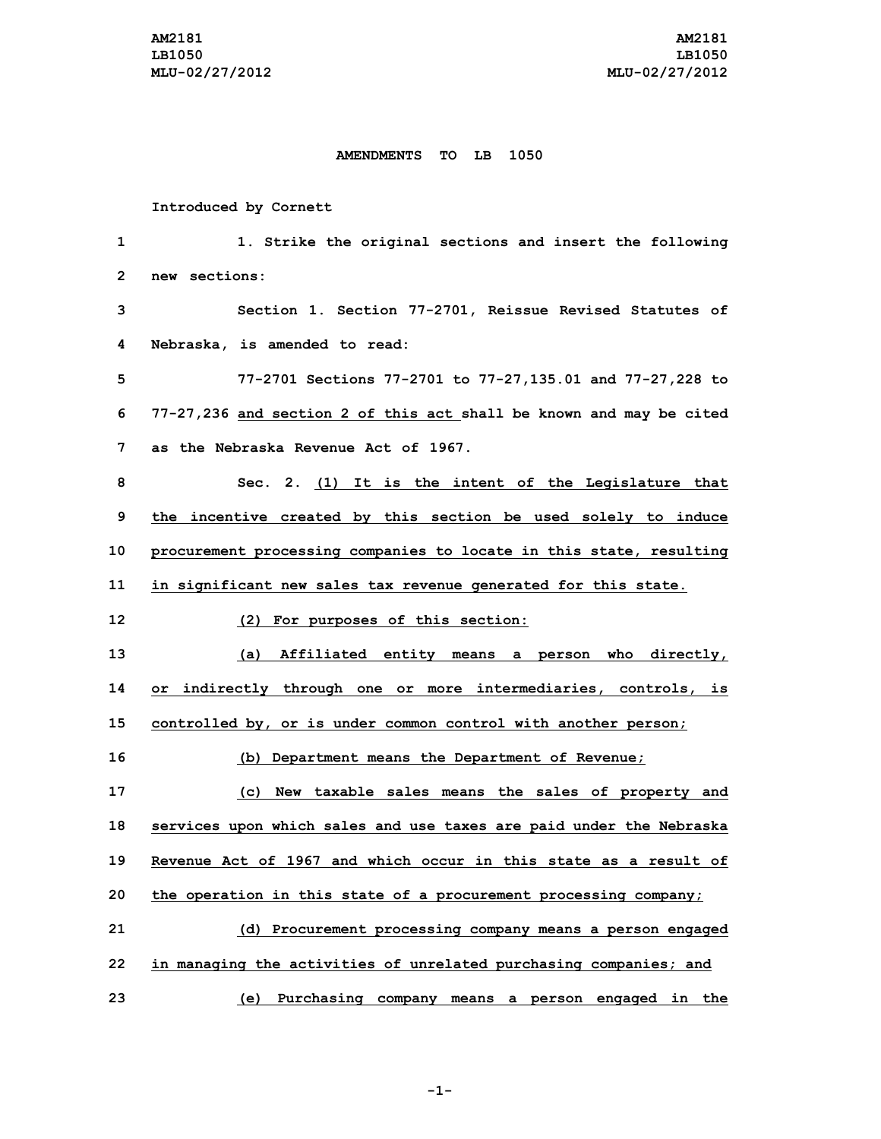## **AMENDMENTS TO LB 1050**

## **Introduced by Cornett**

 **1. Strike the original sections and insert the following new sections: Section 1. Section 77-2701, Reissue Revised Statutes of Nebraska, is amended to read: 77-2701 Sections 77-2701 to 77-27,135.01 and 77-27,228 to 77-27,236 and section 2 of this act shall be known and may be cited as the Nebraska Revenue Act of 1967. Sec. 2. (1) It is the intent of the Legislature that the incentive created by this section be used solely to induce procurement processing companies to locate in this state, resulting in significant new sales tax revenue generated for this state. (2) For purposes of this section: (a) Affiliated entity means <sup>a</sup> person who directly, or indirectly through one or more intermediaries, controls, is controlled by, or is under common control with another person; (b) Department means the Department of Revenue; (c) New taxable sales means the sales of property and services upon which sales and use taxes are paid under the Nebraska Revenue Act of 1967 and which occur in this state as a result of the operation in this state of <sup>a</sup> procurement processing company; (d) Procurement processing company means <sup>a</sup> person engaged in managing the activities of unrelated purchasing companies; and (e) Purchasing company means <sup>a</sup> person engaged in the**

**-1-**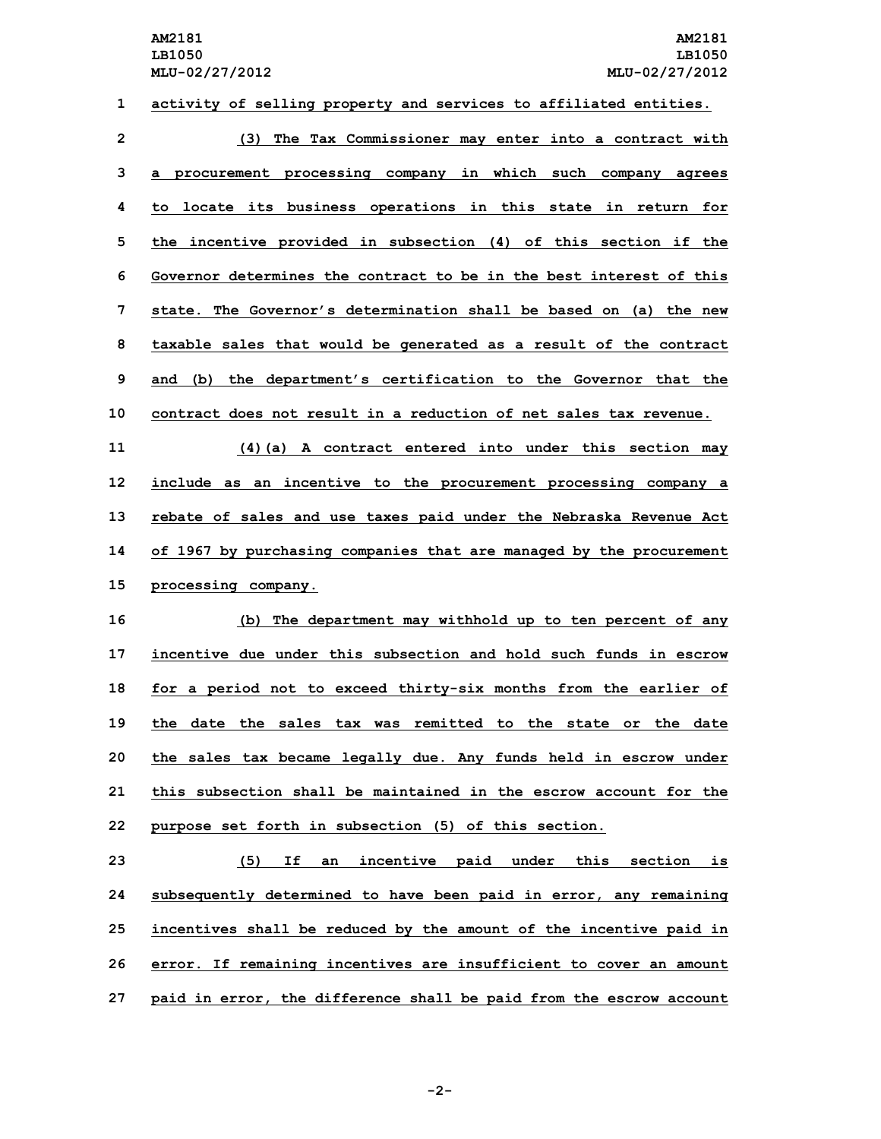| 1  | activity of selling property and services to affiliated entities.   |
|----|---------------------------------------------------------------------|
| 2  | (3) The Tax Commissioner may enter into a contract with             |
| 3  | a procurement processing company in which such company agrees       |
| 4  | to locate its business operations in this state in return for       |
| 5  | the incentive provided in subsection (4) of this section if the     |
| 6  | Governor determines the contract to be in the best interest of this |
| 7  | state. The Governor's determination shall be based on (a) the new   |
| 8  | taxable sales that would be generated as a result of the contract   |
| 9  | and (b) the department's certification to the Governor that the     |
| 10 | contract does not result in a reduction of net sales tax revenue.   |
| 11 | (4) (a) A contract entered into under this section may              |
| 12 | include as an incentive to the procurement processing company a     |
| 13 | rebate of sales and use taxes paid under the Nebraska Revenue Act   |
| 14 | of 1967 by purchasing companies that are managed by the procurement |
| 15 | processing company.                                                 |
| 16 | (b) The department may withhold up to ten percent of any            |
| 17 | incentive due under this subsection and hold such funds in escrow   |
| 18 |                                                                     |
|    | for a period not to exceed thirty-six months from the earlier of    |
| 19 | the date the sales tax was remitted to the state or the date        |
| 20 | the sales tax became legally due. Any funds held in escrow under    |
| 21 | this subsection shall be maintained in the escrow account for the   |
| 22 | purpose set forth in subsection (5) of this section.                |
| 23 | (5)<br>If<br>an incentive paid under<br>this section<br>is          |
| 24 | subsequently determined to have been paid in error, any remaining   |
| 25 | incentives shall be reduced by the amount of the incentive paid in  |

**27 paid in error, the difference shall be paid from the escrow account**

**-2-**